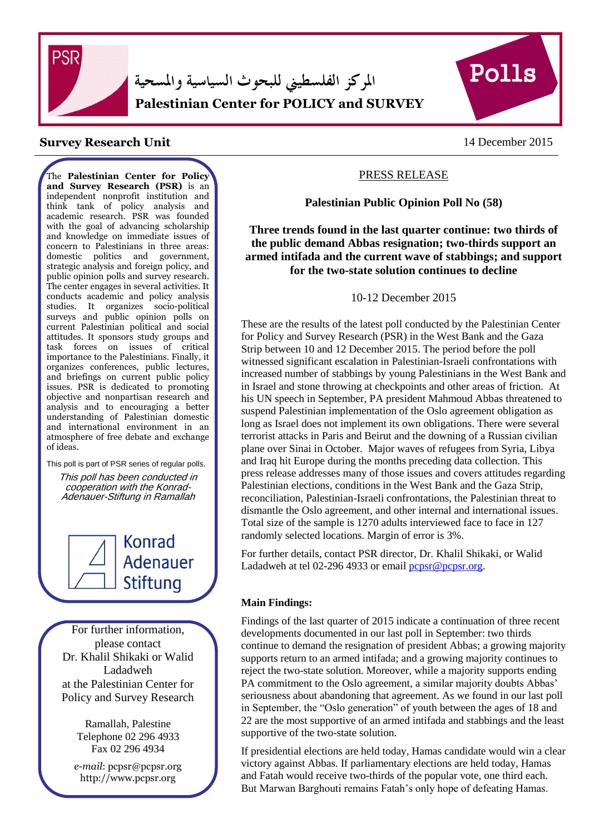

المركز الفلسطيني للبحوث السياسية والمسحية **Palestinian Center for POLICY and SURVEY** 



# **Survey Research Unit** 14 December 2015

The **Palestinian Center for Policy and Survey Research (PSR)** is an independent nonprofit institution and think tank of policy analysis and academic research. PSR was founded with the goal of advancing scholarship and knowledge on immediate issues of concern to Palestinians in three areas: domestic politics and government, strategic analysis and foreign policy, and public opinion polls and survey research. The center engages in several activities. It conducts academic and policy analysis studies. It organizes socio-political surveys and public opinion polls on current Palestinian political and social attitudes. It sponsors study groups and task forces on issues of critical importance to the Palestinians. Finally, it organizes conferences, public lectures, and briefings on current public policy issues. PSR is dedicated to promoting objective and nonpartisan research and analysis and to encouraging a better understanding of Palestinian domestic and international environment in an atmosphere of free debate and exchange of ideas.

This poll is part of PSR series of regular polls.

This poll has been conducted in cooperation with the Konrad-Adenauer-Stiftung in Ramallah

> Konrad **Adenauer Stiftung**

For further information, please contact Dr. Khalil Shikaki or Walid Ladadweh at the Palestinian Center for Policy and Survey Research

> Ramallah, Palestine Telephone 02 296 4933 Fax 02 296 4934

*e-mail*: pcpsr@pcpsr.org http://www.pcpsr.org

# PRESS RELEASE

#### **Palestinian Public Opinion Poll No (58)**

**Three trends found in the last quarter continue: two thirds of the public demand Abbas resignation; two-thirds support an armed intifada and the current wave of stabbings; and support for the two-state solution continues to decline**

10-12 December 2015

These are the results of the latest poll conducted by the Palestinian Center for Policy and Survey Research (PSR) in the West Bank and the Gaza Strip between 10 and 12 December 2015. The period before the poll witnessed significant escalation in Palestinian-Israeli confrontations with increased number of stabbings by young Palestinians in the West Bank and in Israel and stone throwing at checkpoints and other areas of friction. At his UN speech in September, PA president Mahmoud Abbas threatened to suspend Palestinian implementation of the Oslo agreement obligation as long as Israel does not implement its own obligations. There were several terrorist attacks in Paris and Beirut and the downing of a Russian civilian plane over Sinai in October. Major waves of refugees from Syria, Libya and Iraq hit Europe during the months preceding data collection. This press release addresses many of those issues and covers attitudes regarding Palestinian elections, conditions in the West Bank and the Gaza Strip, reconciliation, Palestinian-Israeli confrontations, the Palestinian threat to dismantle the Oslo agreement, and other internal and international issues. Total size of the sample is 1270 adults interviewed face to face in 127 randomly selected locations. Margin of error is 3%.

For further details, contact PSR director, Dr. Khalil Shikaki, or Walid Ladadweh at tel 02-296 4933 or email pcpsr@pcpsr.org.

#### **Main Findings:**

Findings of the last quarter of 2015 indicate a continuation of three recent developments documented in our last poll in September: two thirds continue to demand the resignation of president Abbas; a growing majority supports return to an armed intifada; and a growing majority continues to reject the two-state solution. Moreover, while a majority supports ending PA commitment to the Oslo agreement, a similar majority doubts Abbas' seriousness about abandoning that agreement. As we found in our last poll in September, the "Oslo generation" of youth between the ages of 18 and 22 are the most supportive of an armed intifada and stabbings and the least supportive of the two-state solution.

If presidential elections are held today, Hamas candidate would win a clear victory against Abbas. If parliamentary elections are held today, Hamas and Fatah would receive two-thirds of the popular vote, one third each. But Marwan Barghouti remains Fatah's only hope of defeating Hamas.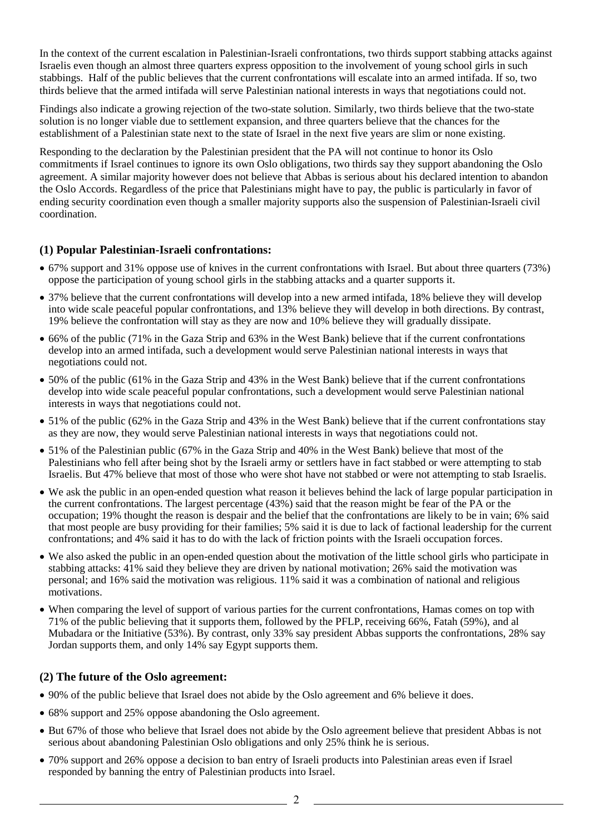In the context of the current escalation in Palestinian-Israeli confrontations, two thirds support stabbing attacks against Israelis even though an almost three quarters express opposition to the involvement of young school girls in such stabbings. Half of the public believes that the current confrontations will escalate into an armed intifada. If so, two thirds believe that the armed intifada will serve Palestinian national interests in ways that negotiations could not.

Findings also indicate a growing rejection of the two-state solution. Similarly, two thirds believe that the two-state solution is no longer viable due to settlement expansion, and three quarters believe that the chances for the establishment of a Palestinian state next to the state of Israel in the next five years are slim or none existing.

Responding to the declaration by the Palestinian president that the PA will not continue to honor its Oslo commitments if Israel continues to ignore its own Oslo obligations, two thirds say they support abandoning the Oslo agreement. A similar majority however does not believe that Abbas is serious about his declared intention to abandon the Oslo Accords. Regardless of the price that Palestinians might have to pay, the public is particularly in favor of ending security coordination even though a smaller majority supports also the suspension of Palestinian-Israeli civil coordination.

# **(1) Popular Palestinian-Israeli confrontations:**

- 67% support and 31% oppose use of knives in the current confrontations with Israel. But about three quarters (73%) oppose the participation of young school girls in the stabbing attacks and a quarter supports it.
- 37% believe that the current confrontations will develop into a new armed intifada, 18% believe they will develop into wide scale peaceful popular confrontations, and 13% believe they will develop in both directions. By contrast, 19% believe the confrontation will stay as they are now and 10% believe they will gradually dissipate.
- 66% of the public (71% in the Gaza Strip and 63% in the West Bank) believe that if the current confrontations develop into an armed intifada, such a development would serve Palestinian national interests in ways that negotiations could not.
- 50% of the public (61% in the Gaza Strip and 43% in the West Bank) believe that if the current confrontations develop into wide scale peaceful popular confrontations, such a development would serve Palestinian national interests in ways that negotiations could not.
- 51% of the public (62% in the Gaza Strip and 43% in the West Bank) believe that if the current confrontations stay as they are now, they would serve Palestinian national interests in ways that negotiations could not.
- 51% of the Palestinian public (67% in the Gaza Strip and 40% in the West Bank) believe that most of the Palestinians who fell after being shot by the Israeli army or settlers have in fact stabbed or were attempting to stab Israelis. But 47% believe that most of those who were shot have not stabbed or were not attempting to stab Israelis.
- We ask the public in an open-ended question what reason it believes behind the lack of large popular participation in the current confrontations. The largest percentage (43%) said that the reason might be fear of the PA or the occupation; 19% thought the reason is despair and the belief that the confrontations are likely to be in vain; 6% said that most people are busy providing for their families; 5% said it is due to lack of factional leadership for the current confrontations; and 4% said it has to do with the lack of friction points with the Israeli occupation forces.
- We also asked the public in an open-ended question about the motivation of the little school girls who participate in stabbing attacks: 41% said they believe they are driven by national motivation; 26% said the motivation was personal; and 16% said the motivation was religious. 11% said it was a combination of national and religious motivations.
- When comparing the level of support of various parties for the current confrontations, Hamas comes on top with 71% of the public believing that it supports them, followed by the PFLP, receiving 66%, Fatah (59%), and al Mubadara or the Initiative (53%). By contrast, only 33% say president Abbas supports the confrontations, 28% say Jordan supports them, and only 14% say Egypt supports them.

# **(2) The future of the Oslo agreement:**

- 90% of the public believe that Israel does not abide by the Oslo agreement and 6% believe it does.
- 68% support and 25% oppose abandoning the Oslo agreement.
- But 67% of those who believe that Israel does not abide by the Oslo agreement believe that president Abbas is not serious about abandoning Palestinian Oslo obligations and only 25% think he is serious.
- 70% support and 26% oppose a decision to ban entry of Israeli products into Palestinian areas even if Israel responded by banning the entry of Palestinian products into Israel.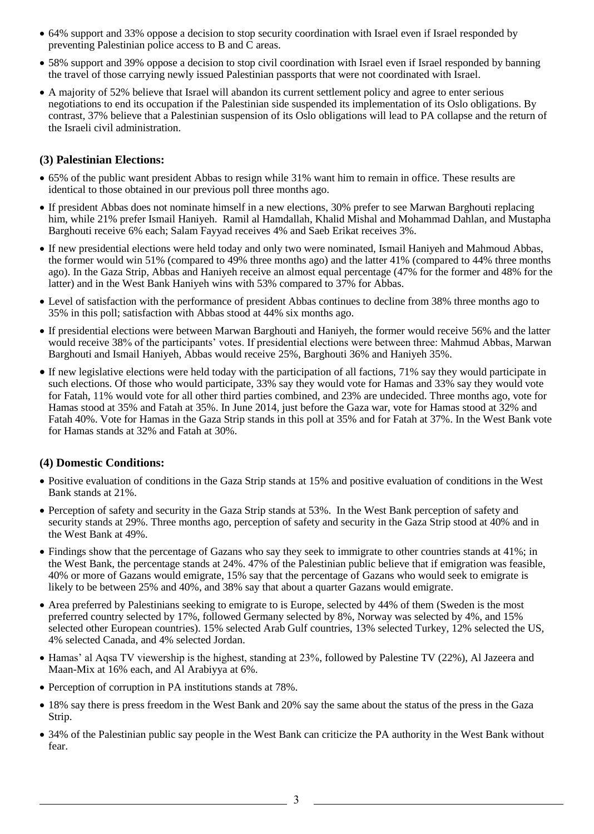- 64% support and 33% oppose a decision to stop security coordination with Israel even if Israel responded by preventing Palestinian police access to B and C areas.
- 58% support and 39% oppose a decision to stop civil coordination with Israel even if Israel responded by banning the travel of those carrying newly issued Palestinian passports that were not coordinated with Israel.
- A majority of 52% believe that Israel will abandon its current settlement policy and agree to enter serious negotiations to end its occupation if the Palestinian side suspended its implementation of its Oslo obligations. By contrast, 37% believe that a Palestinian suspension of its Oslo obligations will lead to PA collapse and the return of the Israeli civil administration.

### **(3) Palestinian Elections:**

- 65% of the public want president Abbas to resign while 31% want him to remain in office. These results are identical to those obtained in our previous poll three months ago.
- If president Abbas does not nominate himself in a new elections, 30% prefer to see Marwan Barghouti replacing him, while 21% prefer Ismail Haniyeh. Ramil al Hamdallah, Khalid Mishal and Mohammad Dahlan, and Mustapha Barghouti receive 6% each; Salam Fayyad receives 4% and Saeb Erikat receives 3%.
- If new presidential elections were held today and only two were nominated, Ismail Haniyeh and Mahmoud Abbas, the former would win 51% (compared to 49% three months ago) and the latter 41% (compared to 44% three months ago). In the Gaza Strip, Abbas and Haniyeh receive an almost equal percentage (47% for the former and 48% for the latter) and in the West Bank Haniyeh wins with 53% compared to 37% for Abbas.
- Level of satisfaction with the performance of president Abbas continues to decline from 38% three months ago to 35% in this poll; satisfaction with Abbas stood at 44% six months ago.
- If presidential elections were between Marwan Barghouti and Haniyeh, the former would receive 56% and the latter would receive 38% of the participants' votes. If presidential elections were between three: Mahmud Abbas, Marwan Barghouti and Ismail Haniyeh, Abbas would receive 25%, Barghouti 36% and Haniyeh 35%.
- If new legislative elections were held today with the participation of all factions, 71% say they would participate in such elections. Of those who would participate, 33% say they would vote for Hamas and 33% say they would vote for Fatah, 11% would vote for all other third parties combined, and 23% are undecided. Three months ago, vote for Hamas stood at 35% and Fatah at 35%. In June 2014, just before the Gaza war, vote for Hamas stood at 32% and Fatah 40%. Vote for Hamas in the Gaza Strip stands in this poll at 35% and for Fatah at 37%. In the West Bank vote for Hamas stands at 32% and Fatah at 30%.

# **(4) Domestic Conditions:**

- Positive evaluation of conditions in the Gaza Strip stands at 15% and positive evaluation of conditions in the West Bank stands at 21%.
- Perception of safety and security in the Gaza Strip stands at 53%. In the West Bank perception of safety and security stands at 29%. Three months ago, perception of safety and security in the Gaza Strip stood at 40% and in the West Bank at 49%.
- Findings show that the percentage of Gazans who say they seek to immigrate to other countries stands at 41%; in the West Bank, the percentage stands at 24%. 47% of the Palestinian public believe that if emigration was feasible, 40% or more of Gazans would emigrate, 15% say that the percentage of Gazans who would seek to emigrate is likely to be between 25% and 40%, and 38% say that about a quarter Gazans would emigrate.
- Area preferred by Palestinians seeking to emigrate to is Europe, selected by 44% of them (Sweden is the most preferred country selected by 17%, followed Germany selected by 8%, Norway was selected by 4%, and 15% selected other European countries). 15% selected Arab Gulf countries, 13% selected Turkey, 12% selected the US, 4% selected Canada, and 4% selected Jordan.
- Hamas' al Aqsa TV viewership is the highest, standing at 23%, followed by Palestine TV (22%), Al Jazeera and Maan-Mix at 16% each, and Al Arabiyya at 6%.
- Perception of corruption in PA institutions stands at 78%.
- 18% say there is press freedom in the West Bank and 20% say the same about the status of the press in the Gaza Strip.
- 34% of the Palestinian public say people in the West Bank can criticize the PA authority in the West Bank without fear.